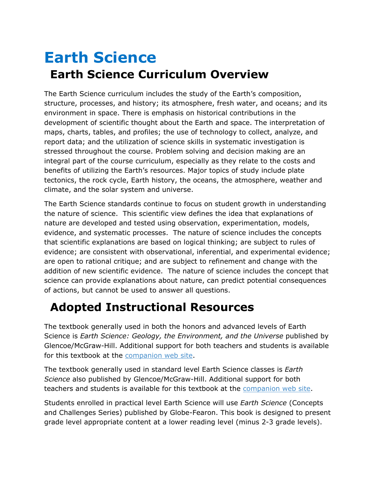## **Earth Science Earth Science Curriculum Overview**

The Earth Science curriculum includes the study of the Earth's composition, structure, processes, and history; its atmosphere, fresh water, and oceans; and its environment in space. There is emphasis on historical contributions in the development of scientific thought about the Earth and space. The interpretation of maps, charts, tables, and profiles; the use of technology to collect, analyze, and report data; and the utilization of science skills in systematic investigation is stressed throughout the course. Problem solving and decision making are an integral part of the course curriculum, especially as they relate to the costs and benefits of utilizing the Earth's resources. Major topics of study include plate tectonics, the rock cycle, Earth history, the oceans, the atmosphere, weather and climate, and the solar system and universe.

The Earth Science standards continue to focus on student growth in understanding the nature of science. This scientific view defines the idea that explanations of nature are developed and tested using observation, experimentation, models, evidence, and systematic processes. The nature of science includes the concepts that scientific explanations are based on logical thinking; are subject to rules of evidence; are consistent with observational, inferential, and experimental evidence; are open to rational critique; and are subject to refinement and change with the addition of new scientific evidence. The nature of science includes the concept that science can provide explanations about nature, can predict potential consequences of actions, but cannot be used to answer all questions.

## **Adopted Instructional Resources**

The textbook generally used in both the honors and advanced levels of Earth Science is *Earth Science: Geology, the Environment, and the Universe* published by Glencoe/McGraw-Hill. Additional support for both teachers and students is available for this textbook at the [companion web site.](http://www.glencoe.com/sec/science/earthscience/index.html)

The textbook generally used in standard level Earth Science classes is *Earth Science* also published by Glencoe/McGraw-Hill. Additional support for both teachers and students is available for this textbook at the [companion web site.](http://www.glencoe.com/sec/science/lep_science/lep2002/national/earth/index.html)

Students enrolled in practical level Earth Science will use *Earth Science* (Concepts and Challenges Series) published by Globe-Fearon. This book is designed to present grade level appropriate content at a lower reading level (minus 2-3 grade levels).